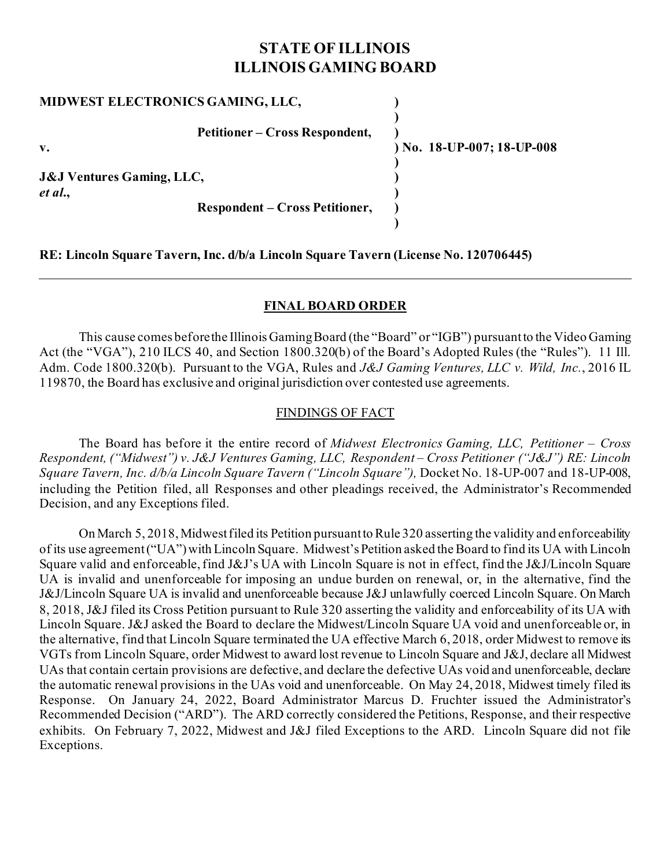# **STATE OF ILLINOIS ILLINOIS GAMING BOARD**

| MIDWEST ELECTRONICS GAMING, LLC,                                                         |                            |
|------------------------------------------------------------------------------------------|----------------------------|
| <b>Petitioner – Cross Respondent,</b><br>v.                                              | ) No. 18-UP-007; 18-UP-008 |
| <b>J&amp;J Ventures Gaming, LLC,</b><br>et al.,<br><b>Respondent – Cross Petitioner,</b> |                            |
|                                                                                          |                            |

**RE: Lincoln Square Tavern, Inc. d/b/a Lincoln Square Tavern (License No. 120706445)**

### **FINAL BOARD ORDER**

This cause comes before the Illinois Gaming Board (the "Board" or "IGB") pursuant to the Video Gaming Act (the "VGA"), 210 ILCS 40, and Section 1800.320(b) of the Board's Adopted Rules (the "Rules"). 11 Ill. Adm. Code 1800.320(b). Pursuant to the VGA, Rules and *J&J Gaming Ventures, LLC v. Wild, Inc.*, 2016 IL 119870, the Board has exclusive and original jurisdiction over contested use agreements.

## FINDINGS OF FACT

The Board has before it the entire record of *Midwest Electronics Gaming, LLC, Petitioner – Cross Respondent, ("Midwest") v. J&J Ventures Gaming, LLC, Respondent – Cross Petitioner ("J&J") RE: Lincoln Square Tavern, Inc. d/b/a Lincoln Square Tavern ("Lincoln Square"),* Docket No. 18-UP-007 and 18-UP-008, including the Petition filed, all Responses and other pleadings received, the Administrator's Recommended Decision, and any Exceptions filed.

On March 5, 2018, Midwestfiled its Petition pursuant to Rule 320 asserting the validity and enforceability of its use agreement("UA")with Lincoln Square. Midwest's Petition asked the Board to find its UA with Lincoln Square valid and enforceable, find J&J's UA with Lincoln Square is not in effect, find the J&J/Lincoln Square UA is invalid and unenforceable for imposing an undue burden on renewal, or, in the alternative, find the J&J/Lincoln Square UA is invalid and unenforceable because J&J unlawfully coerced Lincoln Square. On March 8, 2018, J&J filed its Cross Petition pursuant to Rule 320 asserting the validity and enforceability of its UA with Lincoln Square. J&J asked the Board to declare the Midwest/Lincoln Square UA void and unenforceable or, in the alternative, find that Lincoln Square terminated the UA effective March 6, 2018, order Midwest to remove its VGTs from Lincoln Square, order Midwest to award lost revenue to Lincoln Square and J&J, declare all Midwest UAs that contain certain provisions are defective, and declare the defective UAs void and unenforceable, declare the automatic renewal provisions in the UAs void and unenforceable. On May 24, 2018, Midwest timely filed its Response. On January 24, 2022, Board Administrator Marcus D. Fruchter issued the Administrator's Recommended Decision ("ARD"). The ARD correctly considered the Petitions, Response, and their respective exhibits. On February 7, 2022, Midwest and J&J filed Exceptions to the ARD. Lincoln Square did not file Exceptions.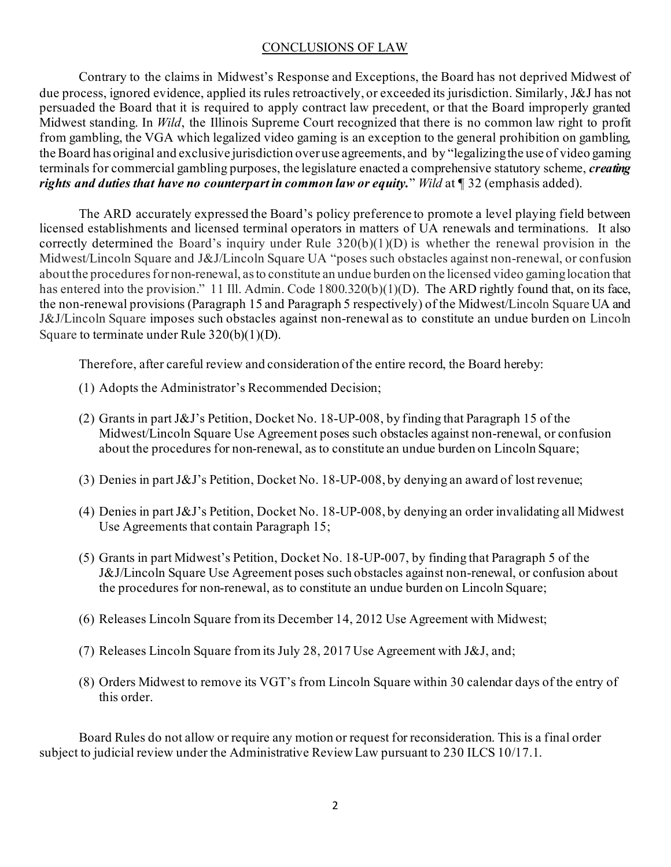## CONCLUSIONS OF LAW

Contrary to the claims in Midwest's Response and Exceptions, the Board has not deprived Midwest of due process, ignored evidence, applied its rules retroactively, or exceeded its jurisdiction. Similarly, J&J has not persuaded the Board that it is required to apply contract law precedent, or that the Board improperly granted Midwest standing. In *Wild*, the Illinois Supreme Court recognized that there is no common law right to profit from gambling, the VGA which legalized video gaming is an exception to the general prohibition on gambling, the Board has original and exclusive jurisdiction over use agreements, and by "legalizing the use of video gaming terminals for commercial gambling purposes, the legislature enacted a comprehensive statutory scheme, *creating rights and duties that have no counterpart in common law or equity.*" *Wild* at ¶ 32 (emphasis added).

The ARD accurately expressed the Board's policy preference to promote a level playing field between licensed establishments and licensed terminal operators in matters of UA renewals and terminations. It also correctly determined the Board's inquiry under Rule 320(b)(1)(D) is whether the renewal provision in the Midwest/Lincoln Square and J&J/Lincoln Square UA "poses such obstacles against non-renewal, or confusion about the procedures for non-renewal, as to constitute an undue burden on the licensed video gaming location that has entered into the provision." 11 Ill. Admin. Code 1800.320(b)(1)(D). The ARD rightly found that, on its face, the non-renewal provisions (Paragraph 15 and Paragraph 5 respectively) of the Midwest/Lincoln Square UA and J&J/Lincoln Square imposes such obstacles against non-renewal as to constitute an undue burden on Lincoln Square to terminate under Rule 320(b)(1)(D).

Therefore, after careful review and consideration of the entire record, the Board hereby:

- (1) Adopts the Administrator's Recommended Decision;
- (2) Grants in part J&J's Petition, Docket No. 18-UP-008, by finding that Paragraph 15 of the Midwest/Lincoln Square Use Agreement poses such obstacles against non-renewal, or confusion about the procedures for non-renewal, as to constitute an undue burden on Lincoln Square;
- (3) Denies in part J&J's Petition, Docket No. 18-UP-008, by denying an award of lost revenue;
- (4) Denies in part J&J's Petition, Docket No. 18-UP-008, by denying an order invalidating all Midwest Use Agreements that contain Paragraph 15;
- (5) Grants in part Midwest's Petition, Docket No. 18-UP-007, by finding that Paragraph 5 of the J&J/Lincoln Square Use Agreement poses such obstacles against non-renewal, or confusion about the procedures for non-renewal, as to constitute an undue burden on Lincoln Square;
- (6) Releases Lincoln Square from its December 14, 2012 Use Agreement with Midwest;
- (7) Releases Lincoln Square from its July 28, 2017 Use Agreement with J&J, and;
- (8) Orders Midwest to remove its VGT's from Lincoln Square within 30 calendar days of the entry of this order.

Board Rules do not allow or require any motion or request for reconsideration. This is a final order subject to judicial review under the Administrative Review Law pursuant to 230 ILCS 10/17.1.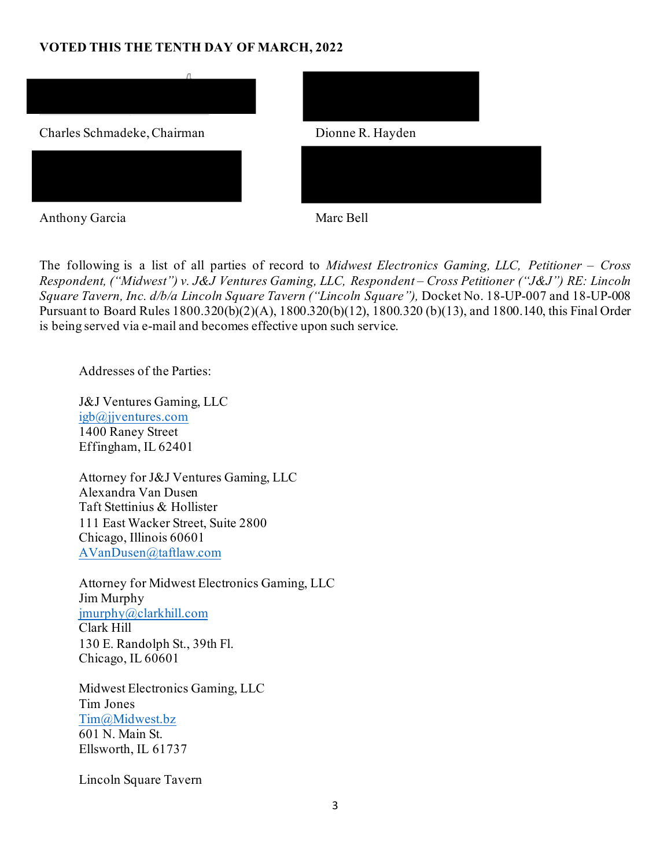## **VOTED THIS THE TENTH DAY OF MARCH, 2022**



The following is a list of all parties of record to *Midwest Electronics Gaming, LLC, Petitioner – Cross Respondent, ("Midwest") v. J&J Ventures Gaming, LLC, Respondent – Cross Petitioner ("J&J") RE: Lincoln Square Tavern, Inc. d/b/a Lincoln Square Tavern ("Lincoln Square"),* Docket No. 18-UP-007 and 18-UP-008 Pursuant to Board Rules 1800.320(b)(2)(A), 1800.320(b)(12), 1800.320 (b)(13), and 1800.140, this Final Order is being served via e-mail and becomes effective upon such service.

Addresses of the Parties:

J&J Ventures Gaming, LLC [igb@jjventures.com](mailto:igb@jjventures.com) 1400 Raney Street Effingham, IL 62401

Attorney for J&J Ventures Gaming, LLC Alexandra Van Dusen Taft Stettinius & Hollister 111 East Wacker Street, Suite 2800 Chicago, Illinois 60601 [AVanDusen@taftlaw.com](mailto:AVanDusen@taftlaw.com)

Attorney for Midwest Electronics Gaming, LLC Jim Murphy [jmurphy@clarkhill.com](mailto:jmurphy@clarkhill.com) Clark Hill 130 E. Randolph St., 39th Fl. Chicago, IL 60601

Midwest Electronics Gaming, LLC Tim Jones [Tim@Midwest.bz](mailto:Tim@Midwest.bz) 601 N. Main St. Ellsworth, IL 61737

Lincoln Square Tavern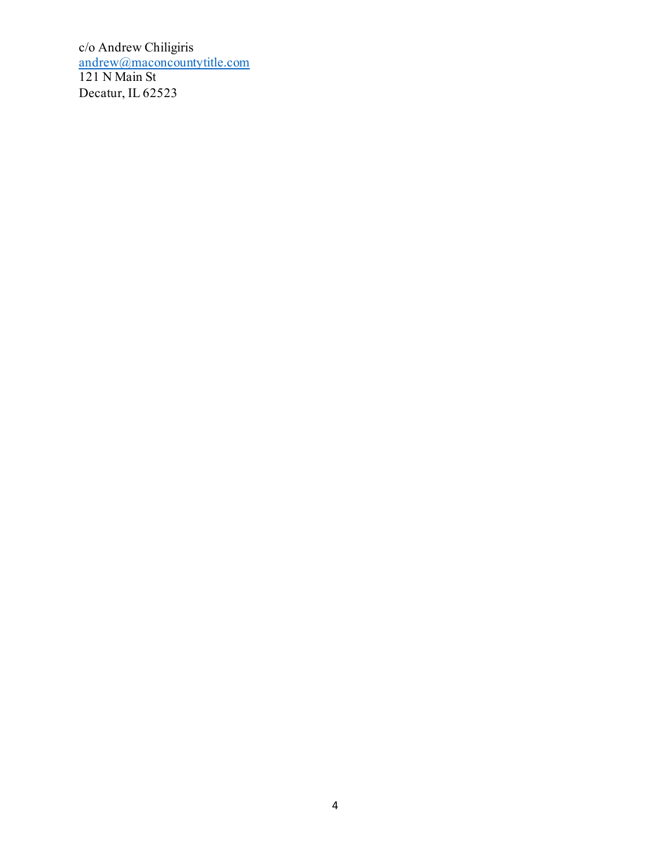c/o Andrew Chiligiris [andrew@maconcountytitle.com](mailto:andrew@maconcountytitle.com) 121 N Main St Decatur, IL 62523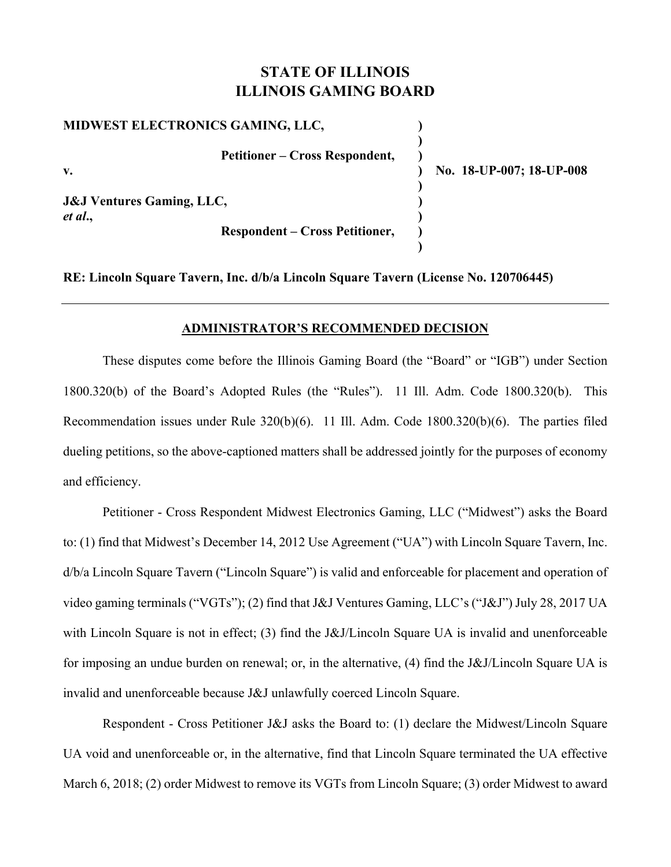## **STATE OF ILLINOIS ILLINOIS GAMING BOARD**

| MIDWEST ELECTRONICS GAMING, LLC,                |                          |
|-------------------------------------------------|--------------------------|
| <b>Petitioner – Cross Respondent,</b>           |                          |
|                                                 | No. 18-UP-007; 18-UP-008 |
| <b>J&amp;J Ventures Gaming, LLC,</b><br>et al., |                          |
| <b>Respondent – Cross Petitioner,</b>           |                          |

**RE: Lincoln Square Tavern, Inc. d/b/a Lincoln Square Tavern (License No. 120706445)** 

 **)** 

### **ADMINISTRATOR'S RECOMMENDED DECISION**

These disputes come before the Illinois Gaming Board (the "Board" or "IGB") under Section 1800.320(b) of the Board's Adopted Rules (the "Rules"). 11 Ill. Adm. Code 1800.320(b). This Recommendation issues under Rule 320(b)(6). 11 Ill. Adm. Code 1800.320(b)(6). The parties filed dueling petitions, so the above-captioned matters shall be addressed jointly for the purposes of economy and efficiency.

Petitioner - Cross Respondent Midwest Electronics Gaming, LLC ("Midwest") asks the Board to: (1) find that Midwest's December 14, 2012 Use Agreement ("UA") with Lincoln Square Tavern, Inc. d/b/a Lincoln Square Tavern ("Lincoln Square") is valid and enforceable for placement and operation of video gaming terminals ("VGTs"); (2) find that J&J Ventures Gaming, LLC's ("J&J") July 28, 2017 UA with Lincoln Square is not in effect; (3) find the J&J/Lincoln Square UA is invalid and unenforceable for imposing an undue burden on renewal; or, in the alternative, (4) find the J&J/Lincoln Square UA is invalid and unenforceable because J&J unlawfully coerced Lincoln Square.

Respondent - Cross Petitioner J&J asks the Board to: (1) declare the Midwest/Lincoln Square UA void and unenforceable or, in the alternative, find that Lincoln Square terminated the UA effective March 6, 2018; (2) order Midwest to remove its VGTs from Lincoln Square; (3) order Midwest to award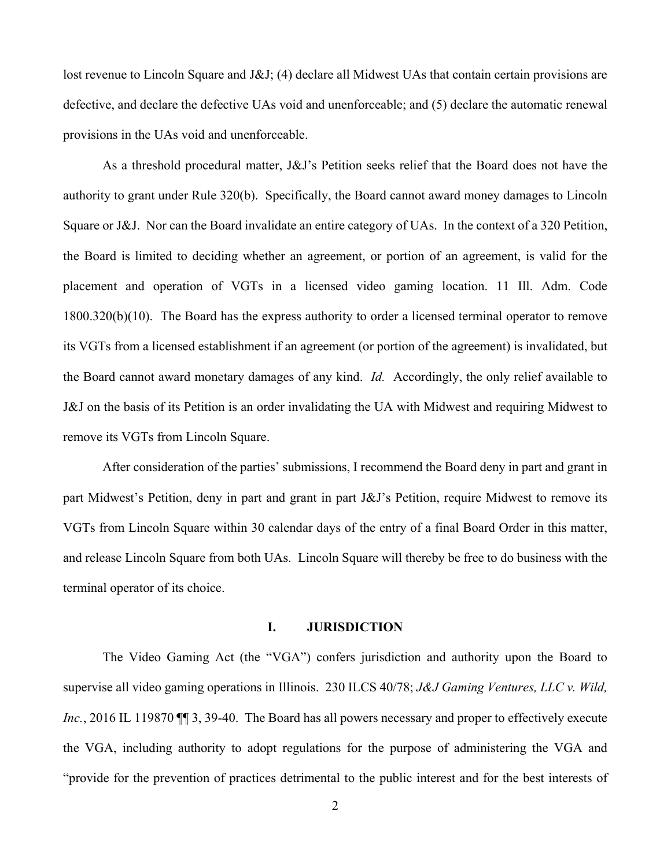lost revenue to Lincoln Square and J&J; (4) declare all Midwest UAs that contain certain provisions are defective, and declare the defective UAs void and unenforceable; and (5) declare the automatic renewal provisions in the UAs void and unenforceable.

As a threshold procedural matter, J&J's Petition seeks relief that the Board does not have the authority to grant under Rule 320(b). Specifically, the Board cannot award money damages to Lincoln Square or J&J. Nor can the Board invalidate an entire category of UAs. In the context of a 320 Petition, the Board is limited to deciding whether an agreement, or portion of an agreement, is valid for the placement and operation of VGTs in a licensed video gaming location. 11 Ill. Adm. Code 1800.320(b)(10). The Board has the express authority to order a licensed terminal operator to remove its VGTs from a licensed establishment if an agreement (or portion of the agreement) is invalidated, but the Board cannot award monetary damages of any kind. *Id.* Accordingly, the only relief available to J&J on the basis of its Petition is an order invalidating the UA with Midwest and requiring Midwest to remove its VGTs from Lincoln Square.

After consideration of the parties' submissions, I recommend the Board deny in part and grant in part Midwest's Petition, deny in part and grant in part J&J's Petition, require Midwest to remove its VGTs from Lincoln Square within 30 calendar days of the entry of a final Board Order in this matter, and release Lincoln Square from both UAs. Lincoln Square will thereby be free to do business with the terminal operator of its choice.

#### **I. JURISDICTION**

The Video Gaming Act (the "VGA") confers jurisdiction and authority upon the Board to supervise all video gaming operations in Illinois. 230 ILCS 40/78; *J&J Gaming Ventures, LLC v. Wild, Inc.*, 2016 IL 119870  $\P$  3, 39-40. The Board has all powers necessary and proper to effectively execute the VGA, including authority to adopt regulations for the purpose of administering the VGA and "provide for the prevention of practices detrimental to the public interest and for the best interests of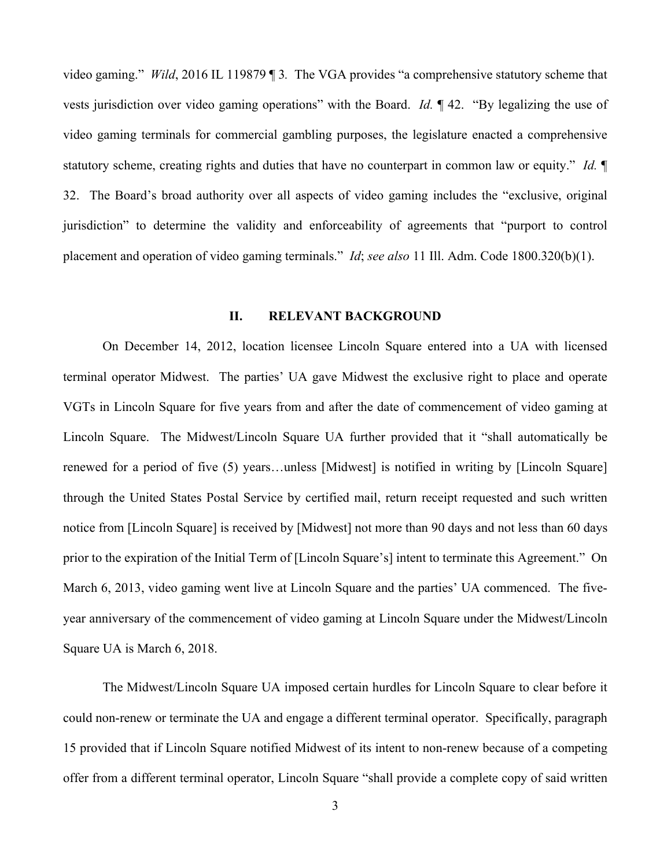video gaming." *Wild*, 2016 IL 119879 ¶ 3*.* The VGA provides "a comprehensive statutory scheme that vests jurisdiction over video gaming operations" with the Board. *Id.* ¶ 42. "By legalizing the use of video gaming terminals for commercial gambling purposes, the legislature enacted a comprehensive statutory scheme, creating rights and duties that have no counterpart in common law or equity." *Id.* ¶ 32. The Board's broad authority over all aspects of video gaming includes the "exclusive, original jurisdiction" to determine the validity and enforceability of agreements that "purport to control placement and operation of video gaming terminals." *Id*; *see also* 11 Ill. Adm. Code 1800.320(b)(1).

#### **II. RELEVANT BACKGROUND**

On December 14, 2012, location licensee Lincoln Square entered into a UA with licensed terminal operator Midwest. The parties' UA gave Midwest the exclusive right to place and operate VGTs in Lincoln Square for five years from and after the date of commencement of video gaming at Lincoln Square. The Midwest/Lincoln Square UA further provided that it "shall automatically be renewed for a period of five (5) years…unless [Midwest] is notified in writing by [Lincoln Square] through the United States Postal Service by certified mail, return receipt requested and such written notice from [Lincoln Square] is received by [Midwest] not more than 90 days and not less than 60 days prior to the expiration of the Initial Term of [Lincoln Square's] intent to terminate this Agreement." On March 6, 2013, video gaming went live at Lincoln Square and the parties' UA commenced. The fiveyear anniversary of the commencement of video gaming at Lincoln Square under the Midwest/Lincoln Square UA is March 6, 2018.

The Midwest/Lincoln Square UA imposed certain hurdles for Lincoln Square to clear before it could non-renew or terminate the UA and engage a different terminal operator. Specifically, paragraph 15 provided that if Lincoln Square notified Midwest of its intent to non-renew because of a competing offer from a different terminal operator, Lincoln Square "shall provide a complete copy of said written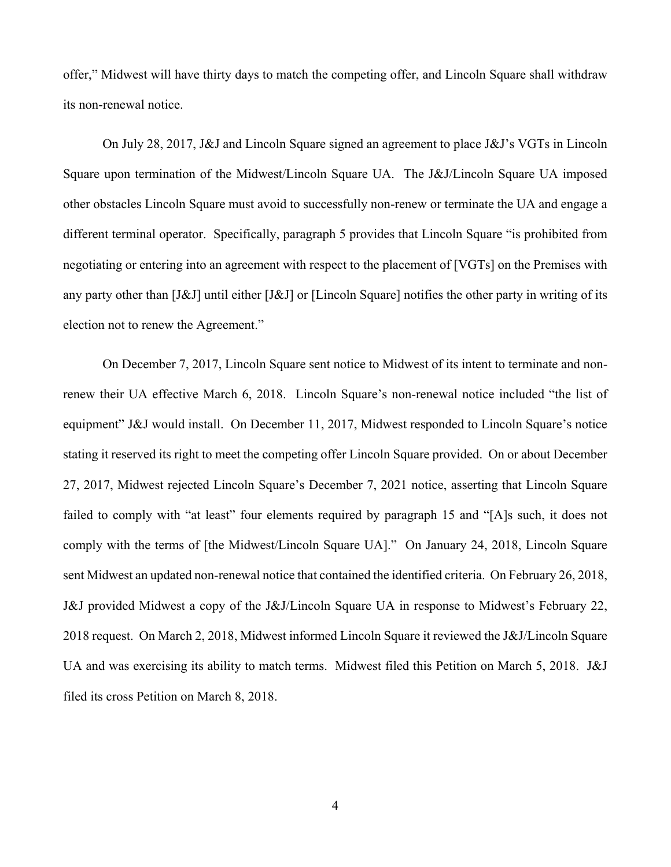offer," Midwest will have thirty days to match the competing offer, and Lincoln Square shall withdraw its non-renewal notice.

On July 28, 2017, J&J and Lincoln Square signed an agreement to place J&J's VGTs in Lincoln Square upon termination of the Midwest/Lincoln Square UA. The J&J/Lincoln Square UA imposed other obstacles Lincoln Square must avoid to successfully non-renew or terminate the UA and engage a different terminal operator. Specifically, paragraph 5 provides that Lincoln Square "is prohibited from negotiating or entering into an agreement with respect to the placement of [VGTs] on the Premises with any party other than [J&J] until either [J&J] or [Lincoln Square] notifies the other party in writing of its election not to renew the Agreement."

On December 7, 2017, Lincoln Square sent notice to Midwest of its intent to terminate and nonrenew their UA effective March 6, 2018. Lincoln Square's non-renewal notice included "the list of equipment" J&J would install. On December 11, 2017, Midwest responded to Lincoln Square's notice stating it reserved its right to meet the competing offer Lincoln Square provided. On or about December 27, 2017, Midwest rejected Lincoln Square's December 7, 2021 notice, asserting that Lincoln Square failed to comply with "at least" four elements required by paragraph 15 and "[A]s such, it does not comply with the terms of [the Midwest/Lincoln Square UA]." On January 24, 2018, Lincoln Square sent Midwest an updated non-renewal notice that contained the identified criteria. On February 26, 2018, J&J provided Midwest a copy of the J&J/Lincoln Square UA in response to Midwest's February 22, 2018 request. On March 2, 2018, Midwest informed Lincoln Square it reviewed the J&J/Lincoln Square UA and was exercising its ability to match terms. Midwest filed this Petition on March 5, 2018. J&J filed its cross Petition on March 8, 2018.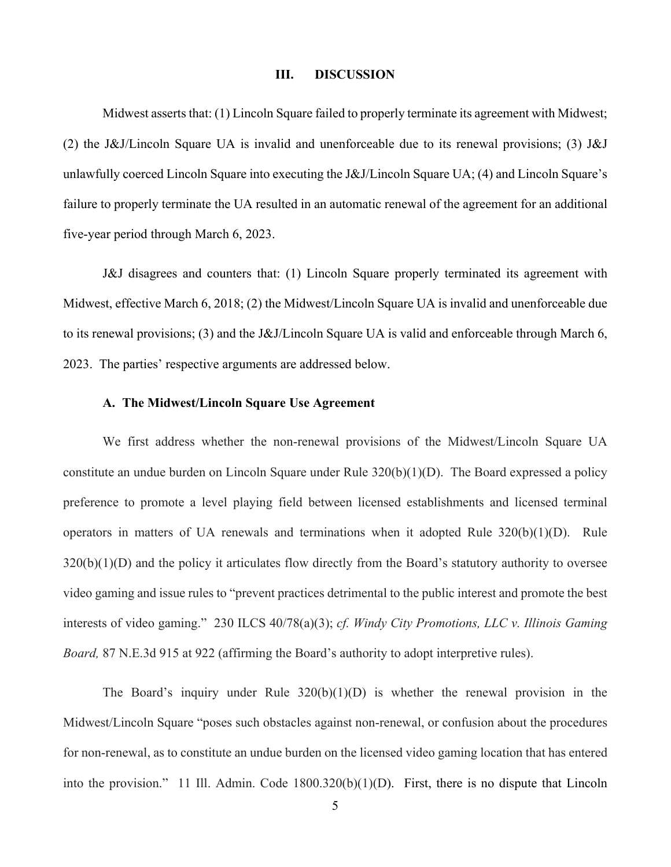#### **III. DISCUSSION**

Midwest asserts that: (1) Lincoln Square failed to properly terminate its agreement with Midwest; (2) the J&J/Lincoln Square UA is invalid and unenforceable due to its renewal provisions; (3) J&J unlawfully coerced Lincoln Square into executing the J&J/Lincoln Square UA; (4) and Lincoln Square's failure to properly terminate the UA resulted in an automatic renewal of the agreement for an additional five-year period through March 6, 2023.

J&J disagrees and counters that: (1) Lincoln Square properly terminated its agreement with Midwest, effective March 6, 2018; (2) the Midwest/Lincoln Square UA is invalid and unenforceable due to its renewal provisions; (3) and the J&J/Lincoln Square UA is valid and enforceable through March 6, 2023. The parties' respective arguments are addressed below.

#### **A. The Midwest/Lincoln Square Use Agreement**

We first address whether the non-renewal provisions of the Midwest/Lincoln Square UA constitute an undue burden on Lincoln Square under Rule 320(b)(1)(D). The Board expressed a policy preference to promote a level playing field between licensed establishments and licensed terminal operators in matters of UA renewals and terminations when it adopted Rule 320(b)(1)(D). Rule  $320(b)(1)(D)$  and the policy it articulates flow directly from the Board's statutory authority to oversee video gaming and issue rules to "prevent practices detrimental to the public interest and promote the best interests of video gaming." 230 ILCS 40/78(a)(3); *cf. Windy City Promotions, LLC v. Illinois Gaming Board,* 87 N.E.3d 915 at 922 (affirming the Board's authority to adopt interpretive rules).

The Board's inquiry under Rule  $320(b)(1)(D)$  is whether the renewal provision in the Midwest/Lincoln Square "poses such obstacles against non-renewal, or confusion about the procedures for non-renewal, as to constitute an undue burden on the licensed video gaming location that has entered into the provision." 11 Ill. Admin. Code 1800.320(b)(1)(D). First, there is no dispute that Lincoln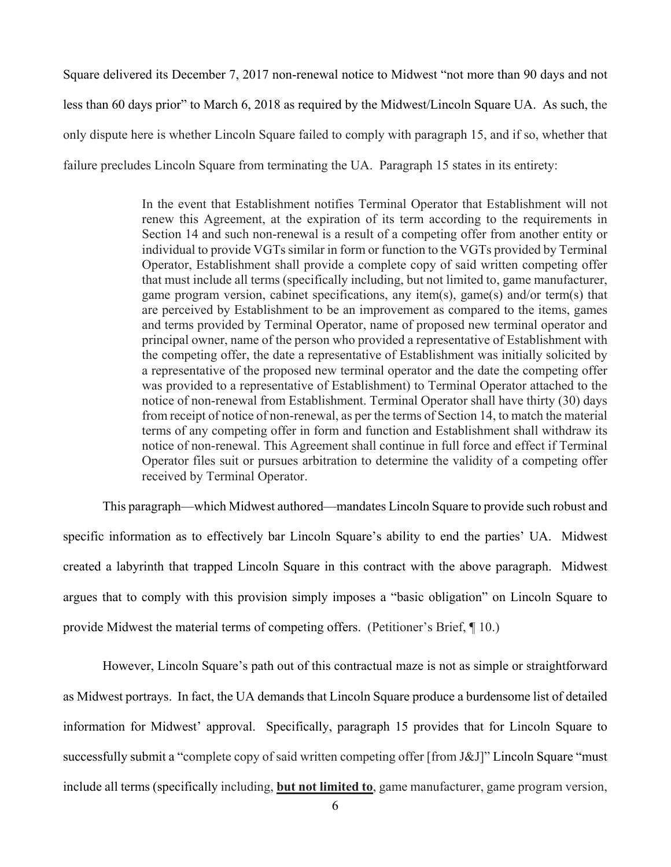Square delivered its December 7, 2017 non-renewal notice to Midwest "not more than 90 days and not less than 60 days prior" to March 6, 2018 as required by the Midwest/Lincoln Square UA. As such, the only dispute here is whether Lincoln Square failed to comply with paragraph 15, and if so, whether that failure precludes Lincoln Square from terminating the UA. Paragraph 15 states in its entirety:

> In the event that Establishment notifies Terminal Operator that Establishment will not renew this Agreement, at the expiration of its term according to the requirements in Section 14 and such non-renewal is a result of a competing offer from another entity or individual to provide VGTs similar in form or function to the VGTs provided by Terminal Operator, Establishment shall provide a complete copy of said written competing offer that must include all terms (specifically including, but not limited to, game manufacturer, game program version, cabinet specifications, any item(s), game(s) and/or term(s) that are perceived by Establishment to be an improvement as compared to the items, games and terms provided by Terminal Operator, name of proposed new terminal operator and principal owner, name of the person who provided a representative of Establishment with the competing offer, the date a representative of Establishment was initially solicited by a representative of the proposed new terminal operator and the date the competing offer was provided to a representative of Establishment) to Terminal Operator attached to the notice of non-renewal from Establishment. Terminal Operator shall have thirty (30) days from receipt of notice of non-renewal, as per the terms of Section 14, to match the material terms of any competing offer in form and function and Establishment shall withdraw its notice of non-renewal. This Agreement shall continue in full force and effect if Terminal Operator files suit or pursues arbitration to determine the validity of a competing offer received by Terminal Operator.

This paragraph—which Midwest authored—mandates Lincoln Square to provide such robust and specific information as to effectively bar Lincoln Square's ability to end the parties' UA. Midwest created a labyrinth that trapped Lincoln Square in this contract with the above paragraph. Midwest argues that to comply with this provision simply imposes a "basic obligation" on Lincoln Square to provide Midwest the material terms of competing offers. (Petitioner's Brief, ¶ 10.)

However, Lincoln Square's path out of this contractual maze is not as simple or straightforward as Midwest portrays. In fact, the UA demands that Lincoln Square produce a burdensome list of detailed information for Midwest' approval. Specifically, paragraph 15 provides that for Lincoln Square to successfully submit a "complete copy of said written competing offer [from J&J]" Lincoln Square "must include all terms (specifically including, **but not limited to**, game manufacturer, game program version,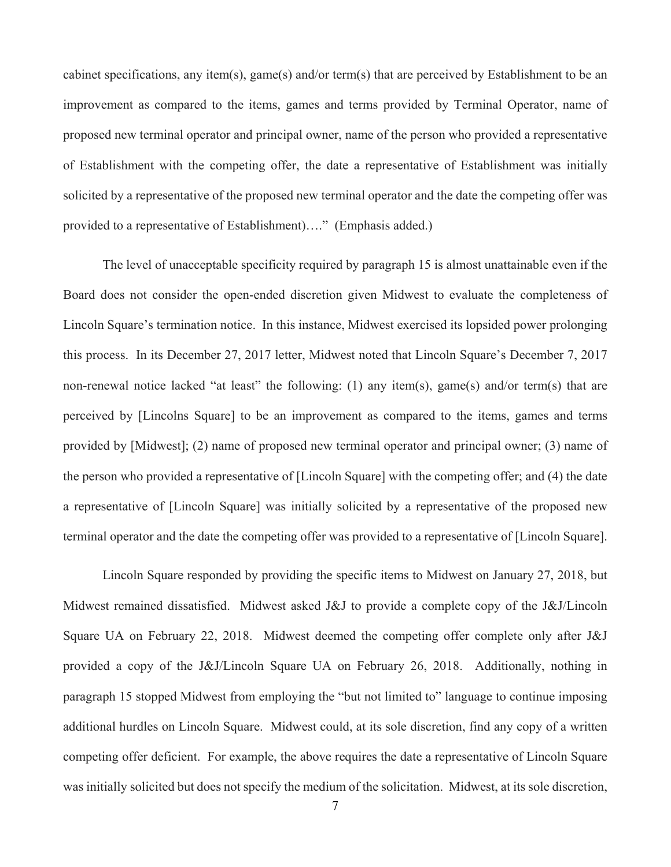cabinet specifications, any item(s), game(s) and/or term(s) that are perceived by Establishment to be an improvement as compared to the items, games and terms provided by Terminal Operator, name of proposed new terminal operator and principal owner, name of the person who provided a representative of Establishment with the competing offer, the date a representative of Establishment was initially solicited by a representative of the proposed new terminal operator and the date the competing offer was provided to a representative of Establishment)…." (Emphasis added.)

The level of unacceptable specificity required by paragraph 15 is almost unattainable even if the Board does not consider the open-ended discretion given Midwest to evaluate the completeness of Lincoln Square's termination notice. In this instance, Midwest exercised its lopsided power prolonging this process. In its December 27, 2017 letter, Midwest noted that Lincoln Square's December 7, 2017 non-renewal notice lacked "at least" the following: (1) any item(s), game(s) and/or term(s) that are perceived by [Lincolns Square] to be an improvement as compared to the items, games and terms provided by [Midwest]; (2) name of proposed new terminal operator and principal owner; (3) name of the person who provided a representative of [Lincoln Square] with the competing offer; and (4) the date a representative of [Lincoln Square] was initially solicited by a representative of the proposed new terminal operator and the date the competing offer was provided to a representative of [Lincoln Square].

Lincoln Square responded by providing the specific items to Midwest on January 27, 2018, but Midwest remained dissatisfied. Midwest asked J&J to provide a complete copy of the J&J/Lincoln Square UA on February 22, 2018. Midwest deemed the competing offer complete only after J&J provided a copy of the J&J/Lincoln Square UA on February 26, 2018. Additionally, nothing in paragraph 15 stopped Midwest from employing the "but not limited to" language to continue imposing additional hurdles on Lincoln Square. Midwest could, at its sole discretion, find any copy of a written competing offer deficient. For example, the above requires the date a representative of Lincoln Square was initially solicited but does not specify the medium of the solicitation. Midwest, at its sole discretion,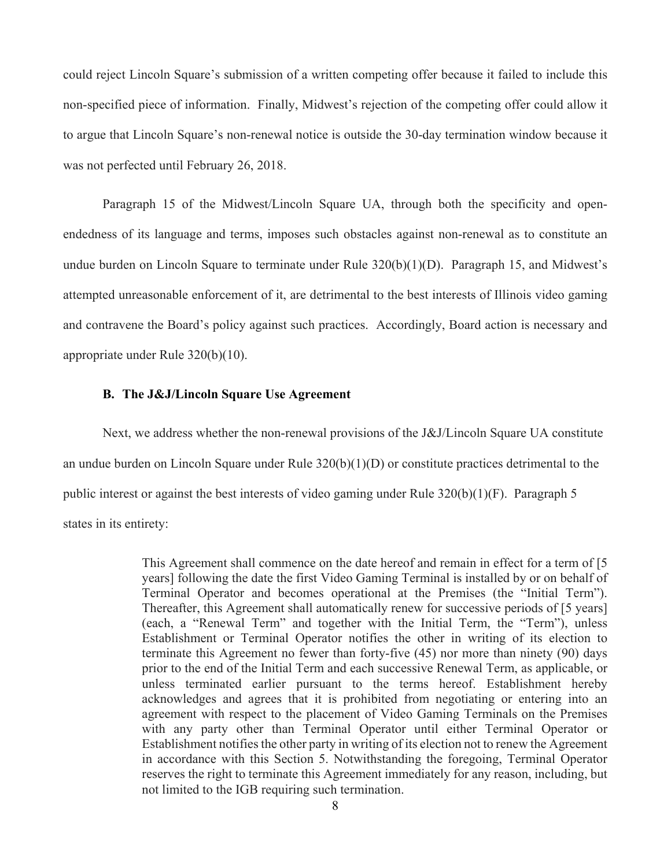could reject Lincoln Square's submission of a written competing offer because it failed to include this non-specified piece of information. Finally, Midwest's rejection of the competing offer could allow it to argue that Lincoln Square's non-renewal notice is outside the 30-day termination window because it was not perfected until February 26, 2018.

Paragraph 15 of the Midwest/Lincoln Square UA, through both the specificity and openendedness of its language and terms, imposes such obstacles against non-renewal as to constitute an undue burden on Lincoln Square to terminate under Rule 320(b)(1)(D). Paragraph 15, and Midwest's attempted unreasonable enforcement of it, are detrimental to the best interests of Illinois video gaming and contravene the Board's policy against such practices. Accordingly, Board action is necessary and appropriate under Rule 320(b)(10).

#### **B. The J&J/Lincoln Square Use Agreement**

Next, we address whether the non-renewal provisions of the J&J/Lincoln Square UA constitute an undue burden on Lincoln Square under Rule 320(b)(1)(D) or constitute practices detrimental to the public interest or against the best interests of video gaming under Rule 320(b)(1)(F). Paragraph 5 states in its entirety:

> This Agreement shall commence on the date hereof and remain in effect for a term of [5 years] following the date the first Video Gaming Terminal is installed by or on behalf of Terminal Operator and becomes operational at the Premises (the "Initial Term"). Thereafter, this Agreement shall automatically renew for successive periods of [5 years] (each, a "Renewal Term" and together with the Initial Term, the "Term"), unless Establishment or Terminal Operator notifies the other in writing of its election to terminate this Agreement no fewer than forty-five (45) nor more than ninety (90) days prior to the end of the Initial Term and each successive Renewal Term, as applicable, or unless terminated earlier pursuant to the terms hereof. Establishment hereby acknowledges and agrees that it is prohibited from negotiating or entering into an agreement with respect to the placement of Video Gaming Terminals on the Premises with any party other than Terminal Operator until either Terminal Operator or Establishment notifies the other party in writing of its election not to renew the Agreement in accordance with this Section 5. Notwithstanding the foregoing, Terminal Operator reserves the right to terminate this Agreement immediately for any reason, including, but not limited to the IGB requiring such termination.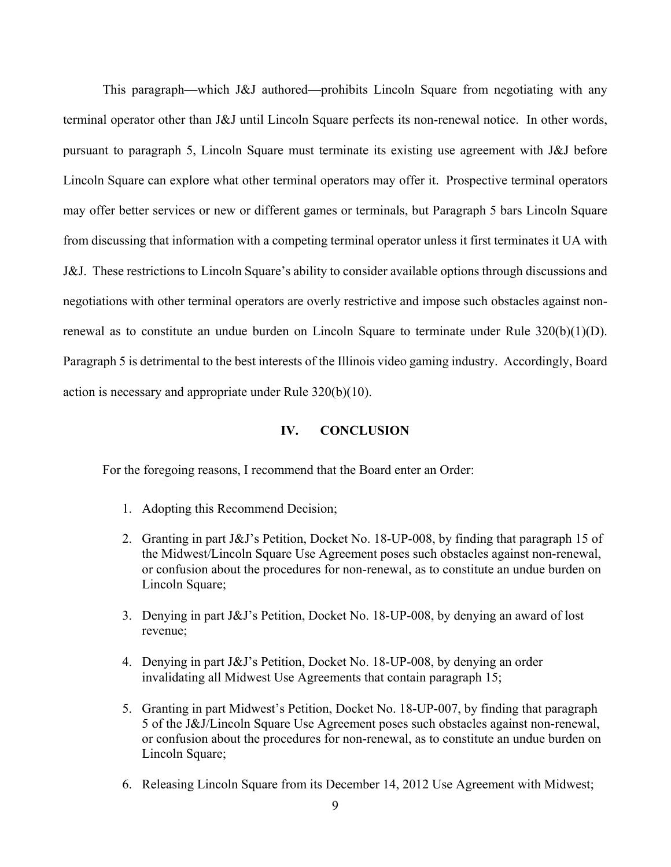This paragraph—which J&J authored—prohibits Lincoln Square from negotiating with any terminal operator other than J&J until Lincoln Square perfects its non-renewal notice. In other words, pursuant to paragraph 5, Lincoln Square must terminate its existing use agreement with J&J before Lincoln Square can explore what other terminal operators may offer it. Prospective terminal operators may offer better services or new or different games or terminals, but Paragraph 5 bars Lincoln Square from discussing that information with a competing terminal operator unless it first terminates it UA with J&J. These restrictions to Lincoln Square's ability to consider available options through discussions and negotiations with other terminal operators are overly restrictive and impose such obstacles against nonrenewal as to constitute an undue burden on Lincoln Square to terminate under Rule  $320(b)(1)(D)$ . Paragraph 5 is detrimental to the best interests of the Illinois video gaming industry. Accordingly, Board action is necessary and appropriate under Rule 320(b)(10).

#### **IV. CONCLUSION**

For the foregoing reasons, I recommend that the Board enter an Order:

- 1. Adopting this Recommend Decision;
- 2. Granting in part J&J's Petition, Docket No. 18-UP-008, by finding that paragraph 15 of the Midwest/Lincoln Square Use Agreement poses such obstacles against non-renewal, or confusion about the procedures for non-renewal, as to constitute an undue burden on Lincoln Square;
- 3. Denying in part J&J's Petition, Docket No. 18-UP-008, by denying an award of lost revenue;
- 4. Denying in part J&J's Petition, Docket No. 18-UP-008, by denying an order invalidating all Midwest Use Agreements that contain paragraph 15;
- 5. Granting in part Midwest's Petition, Docket No. 18-UP-007, by finding that paragraph 5 of the J&J/Lincoln Square Use Agreement poses such obstacles against non-renewal, or confusion about the procedures for non-renewal, as to constitute an undue burden on Lincoln Square;
- 6. Releasing Lincoln Square from its December 14, 2012 Use Agreement with Midwest;